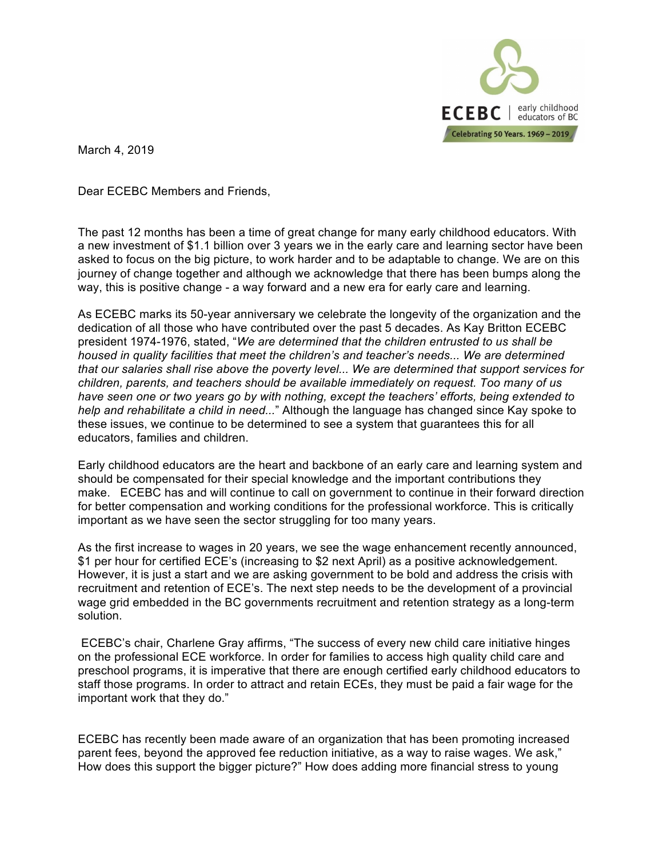

March 4, 2019

Dear ECEBC Members and Friends,

The past 12 months has been a time of great change for many early childhood educators. With a new investment of \$1.1 billion over 3 years we in the early care and learning sector have been asked to focus on the big picture, to work harder and to be adaptable to change*.* We are on this journey of change together and although we acknowledge that there has been bumps along the way, this is positive change - a way forward and a new era for early care and learning.

As ECEBC marks its 50-year anniversary we celebrate the longevity of the organization and the dedication of all those who have contributed over the past 5 decades. As Kay Britton ECEBC president 1974-1976, stated, "*We are determined that the children entrusted to us shall be housed in quality facilities that meet the children's and teacher's needs... We are determined that our salaries shall rise above the poverty level... We are determined that support services for children, parents, and teachers should be available immediately on request. Too many of us have seen one or two years go by with nothing, except the teachers' efforts, being extended to help and rehabilitate a child in need...*" Although the language has changed since Kay spoke to these issues, we continue to be determined to see a system that guarantees this for all educators, families and children.

Early childhood educators are the heart and backbone of an early care and learning system and should be compensated for their special knowledge and the important contributions they make. ECEBC has and will continue to call on government to continue in their forward direction for better compensation and working conditions for the professional workforce. This is critically important as we have seen the sector struggling for too many years.

As the first increase to wages in 20 years, we see the wage enhancement recently announced, \$1 per hour for certified ECE's (increasing to \$2 next April) as a positive acknowledgement. However, it is just a start and we are asking government to be bold and address the crisis with recruitment and retention of ECE's. The next step needs to be the development of a provincial wage grid embedded in the BC governments recruitment and retention strategy as a long-term solution.

ECEBC's chair, Charlene Gray affirms, "The success of every new child care initiative hinges on the professional ECE workforce. In order for families to access high quality child care and preschool programs, it is imperative that there are enough certified early childhood educators to staff those programs. In order to attract and retain ECEs, they must be paid a fair wage for the important work that they do."

ECEBC has recently been made aware of an organization that has been promoting increased parent fees, beyond the approved fee reduction initiative, as a way to raise wages. We ask," How does this support the bigger picture?" How does adding more financial stress to young